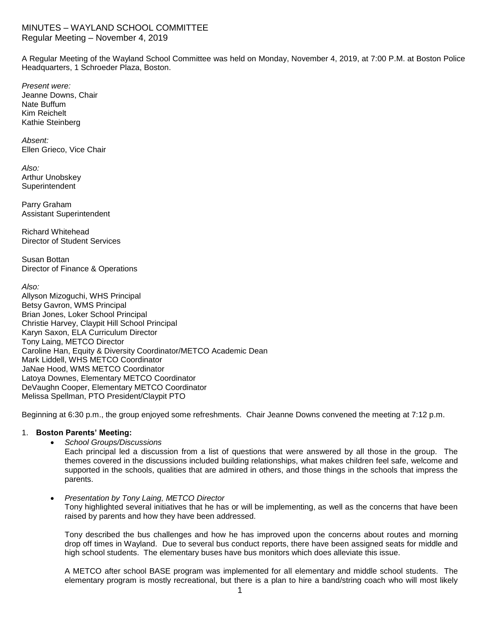# MINUTES – WAYLAND SCHOOL COMMITTEE Regular Meeting – November 4, 2019

A Regular Meeting of the Wayland School Committee was held on Monday, November 4, 2019, at 7:00 P.M. at Boston Police Headquarters, 1 Schroeder Plaza, Boston.

*Present were:* Jeanne Downs, Chair Nate Buffum Kim Reichelt Kathie Steinberg

*Absent:* Ellen Grieco, Vice Chair

*Also:* Arthur Unobskey **Superintendent** 

Parry Graham Assistant Superintendent

Richard Whitehead Director of Student Services

Susan Bottan Director of Finance & Operations

*Also:*

Allyson Mizoguchi, WHS Principal Betsy Gavron, WMS Principal Brian Jones, Loker School Principal Christie Harvey, Claypit Hill School Principal Karyn Saxon, ELA Curriculum Director Tony Laing, METCO Director Caroline Han, Equity & Diversity Coordinator/METCO Academic Dean Mark Liddell, WHS METCO Coordinator JaNae Hood, WMS METCO Coordinator Latoya Downes, Elementary METCO Coordinator DeVaughn Cooper, Elementary METCO Coordinator Melissa Spellman, PTO President/Claypit PTO

Beginning at 6:30 p.m., the group enjoyed some refreshments. Chair Jeanne Downs convened the meeting at 7:12 p.m.

## 1. **Boston Parents' Meeting:**

*School Groups/Discussions*

Each principal led a discussion from a list of questions that were answered by all those in the group. The themes covered in the discussions included building relationships, what makes children feel safe, welcome and supported in the schools, qualities that are admired in others, and those things in the schools that impress the parents.

### *Presentation by Tony Laing, METCO Director*

Tony highlighted several initiatives that he has or will be implementing, as well as the concerns that have been raised by parents and how they have been addressed.

Tony described the bus challenges and how he has improved upon the concerns about routes and morning drop off times in Wayland. Due to several bus conduct reports, there have been assigned seats for middle and high school students. The elementary buses have bus monitors which does alleviate this issue.

A METCO after school BASE program was implemented for all elementary and middle school students. The elementary program is mostly recreational, but there is a plan to hire a band/string coach who will most likely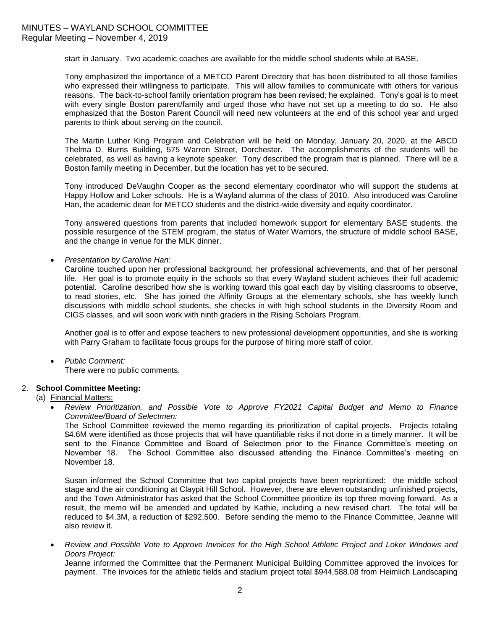start in January. Two academic coaches are available for the middle school students while at BASE.

Tony emphasized the importance of a METCO Parent Directory that has been distributed to all those families who expressed their willingness to participate. This will allow families to communicate with others for various reasons. The back-to-school family orientation program has been revised; he explained. Tony's goal is to meet with every single Boston parent/family and urged those who have not set up a meeting to do so. He also emphasized that the Boston Parent Council will need new volunteers at the end of this school year and urged parents to think about serving on the council.

The Martin Luther King Program and Celebration will be held on Monday, January 20, 2020, at the ABCD Thelma D. Burns Building, 575 Warren Street, Dorchester. The accomplishments of the students will be celebrated, as well as having a keynote speaker. Tony described the program that is planned. There will be a Boston family meeting in December, but the location has yet to be secured.

Tony introduced DeVaughn Cooper as the second elementary coordinator who will support the students at Happy Hollow and Loker schools. He is a Wayland alumna of the class of 2010. Also introduced was Caroline Han, the academic dean for METCO students and the district-wide diversity and equity coordinator.

Tony answered questions from parents that included homework support for elementary BASE students, the possible resurgence of the STEM program, the status of Water Warriors, the structure of middle school BASE, and the change in venue for the MLK dinner.

*Presentation by Caroline Han:*

Caroline touched upon her professional background, her professional achievements, and that of her personal life. Her goal is to promote equity in the schools so that every Wayland student achieves their full academic potential. Caroline described how she is working toward this goal each day by visiting classrooms to observe, to read stories, etc. She has joined the Affinity Groups at the elementary schools, she has weekly lunch discussions with middle school students, she checks in with high school students in the Diversity Room and CIGS classes, and will soon work with ninth graders in the Rising Scholars Program.

Another goal is to offer and expose teachers to new professional development opportunities, and she is working with Parry Graham to facilitate focus groups for the purpose of hiring more staff of color.

*Public Comment:*

There were no public comments.

### 2. **School Committee Meeting:**

(a) Financial Matters:

 *Review Prioritization, and Possible Vote to Approve FY2021 Capital Budget and Memo to Finance Committee/Board of Selectmen:*

The School Committee reviewed the memo regarding its prioritization of capital projects. Projects totaling \$4.6M were identified as those projects that will have quantifiable risks if not done in a timely manner. It will be sent to the Finance Committee and Board of Selectmen prior to the Finance Committee's meeting on November 18. The School Committee also discussed attending the Finance Committee's meeting on November 18.

Susan informed the School Committee that two capital projects have been reprioritized: the middle school stage and the air conditioning at Claypit Hill School. However, there are eleven outstanding unfinished projects, and the Town Administrator has asked that the School Committee prioritize its top three moving forward. As a result, the memo will be amended and updated by Kathie, including a new revised chart. The total will be reduced to \$4.3M, a reduction of \$292,500. Before sending the memo to the Finance Committee, Jeanne will also review it.

 *Review and Possible Vote to Approve Invoices for the High School Athletic Project and Loker Windows and Doors Project:*

Jeanne informed the Committee that the Permanent Municipal Building Committee approved the invoices for payment. The invoices for the athletic fields and stadium project total \$944,588.08 from Heimlich Landscaping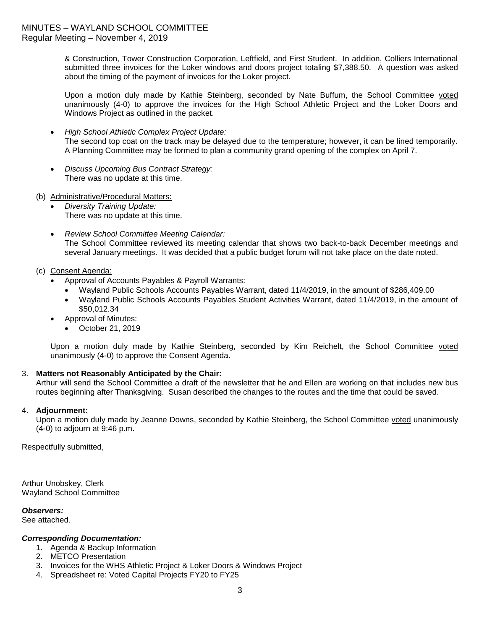& Construction, Tower Construction Corporation, Leftfield, and First Student. In addition, Colliers International submitted three invoices for the Loker windows and doors project totaling \$7,388.50. A question was asked about the timing of the payment of invoices for the Loker project.

Upon a motion duly made by Kathie Steinberg, seconded by Nate Buffum, the School Committee voted unanimously (4-0) to approve the invoices for the High School Athletic Project and the Loker Doors and Windows Project as outlined in the packet.

- *High School Athletic Complex Project Update:* The second top coat on the track may be delayed due to the temperature; however, it can be lined temporarily. A Planning Committee may be formed to plan a community grand opening of the complex on April 7.
- *Discuss Upcoming Bus Contract Strategy:* There was no update at this time.
- (b) Administrative/Procedural Matters:
	- *Diversity Training Update:* There was no update at this time.
	- *Review School Committee Meeting Calendar:* The School Committee reviewed its meeting calendar that shows two back-to-back December meetings and several January meetings. It was decided that a public budget forum will not take place on the date noted.
- (c) Consent Agenda:
	- Approval of Accounts Payables & Payroll Warrants:
		- Wayland Public Schools Accounts Payables Warrant, dated 11/4/2019, in the amount of \$286,409.00
		- Wayland Public Schools Accounts Payables Student Activities Warrant, dated 11/4/2019, in the amount of \$50,012.34
	- Approval of Minutes:
		- October 21, 2019

Upon a motion duly made by Kathie Steinberg, seconded by Kim Reichelt, the School Committee voted unanimously (4-0) to approve the Consent Agenda.

## 3. **Matters not Reasonably Anticipated by the Chair:**

Arthur will send the School Committee a draft of the newsletter that he and Ellen are working on that includes new bus routes beginning after Thanksgiving. Susan described the changes to the routes and the time that could be saved.

### 4. **Adjournment:**

Upon a motion duly made by Jeanne Downs, seconded by Kathie Steinberg, the School Committee voted unanimously (4-0) to adjourn at 9:46 p.m.

Respectfully submitted,

Arthur Unobskey, Clerk Wayland School Committee

*Observers:*

See attached.

### *Corresponding Documentation:*

- 1. Agenda & Backup Information
	- 2. METCO Presentation
	- 3. Invoices for the WHS Athletic Project & Loker Doors & Windows Project
	- 4. Spreadsheet re: Voted Capital Projects FY20 to FY25